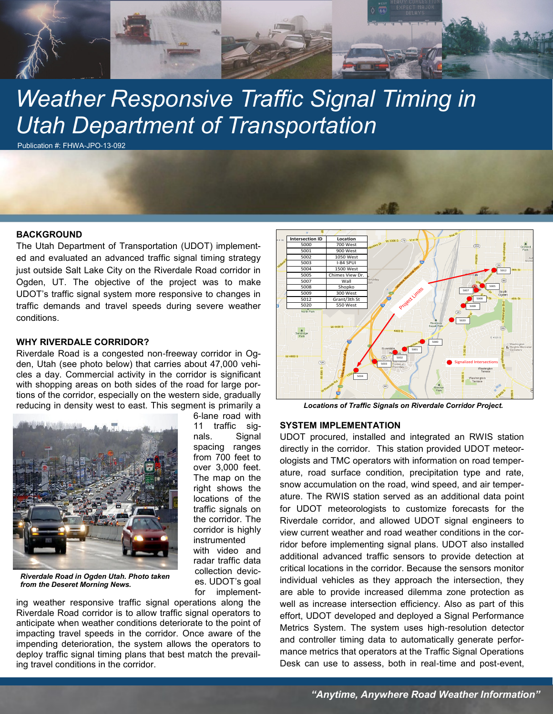

# *Weather Responsive Traffic Signal Timing in Utah Department of Transportation*

6-lane road with 11 traffic signals. Signal spacing ranges from 700 feet to over 3,000 feet. The map on the right shows the locations of the traffic signals on the corridor. The corridor is highly instrumented with video and radar traffic data collection devices. UDOT's goal for implement-

Publication #: FHWA-JPO-13-092

#### **BACKGROUND**

The Utah Department of Transportation (UDOT) implemented and evaluated an advanced traffic signal timing strategy just outside Salt Lake City on the Riverdale Road corridor in Ogden, UT. The objective of the project was to make UDOT's traffic signal system more responsive to changes in traffic demands and travel speeds during severe weather conditions.

## **WHY RIVERDALE CORRIDOR?**

Riverdale Road is a congested non-freeway corridor in Ogden, Utah (see photo below) that carries about 47,000 vehicles a day. Commercial activity in the corridor is significant with shopping areas on both sides of the road for large portions of the corridor, especially on the western side, gradually reducing in density west to east. This segment is primarily a



*Riverdale Road in Ogden Utah. Photo taken from the Deseret Morning News.*

ing weather responsive traffic signal operations along the Riverdale Road corridor is to allow traffic signal operators to anticipate when weather conditions deteriorate to the point of impacting travel speeds in the corridor. Once aware of the impending deterioration, the system allows the operators to deploy traffic signal timing plans that best match the prevailing travel conditions in the corridor.



*Locations of Traffic Signals on Riverdale Corridor Project.*

#### **SYSTEM IMPLEMENTATION**

UDOT procured, installed and integrated an RWIS station directly in the corridor. This station provided UDOT meteorologists and TMC operators with information on road temperature, road surface condition, precipitation type and rate, snow accumulation on the road, wind speed, and air temperature. The RWIS station served as an additional data point for UDOT meteorologists to customize forecasts for the Riverdale corridor, and allowed UDOT signal engineers to view current weather and road weather conditions in the corridor before implementing signal plans. UDOT also installed additional advanced traffic sensors to provide detection at critical locations in the corridor. Because the sensors monitor individual vehicles as they approach the intersection, they are able to provide increased dilemma zone protection as well as increase intersection efficiency. Also as part of this effort, UDOT developed and deployed a Signal Performance Metrics System. The system uses high-resolution detector and controller timing data to automatically generate performance metrics that operators at the Traffic Signal Operations Desk can use to assess, both in real-time and post-event,